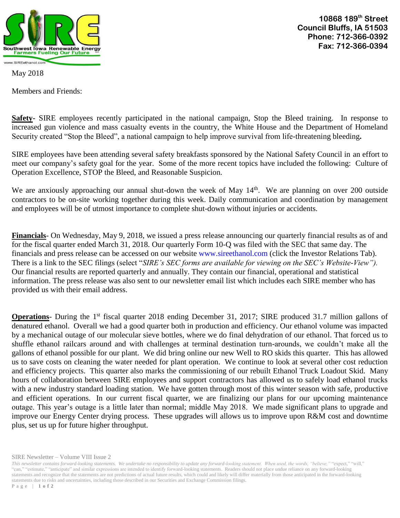

**10868 189th Street Council Bluffs, IA 51503 Phone: 712-366-0392 Fax: 712-366-0394**

May 2018

Members and Friends:

**Safety-** SIRE employees recently participated in the national campaign, Stop the Bleed training. In response to increased gun violence and mass casualty events in the country, the White House and the Department of Homeland Security created "Stop the Bleed", a national campaign to help improve survival from life-threatening bleeding**.**

SIRE employees have been attending several safety breakfasts sponsored by the National Safety Council in an effort to meet our company's safety goal for the year. Some of the more recent topics have included the following: Culture of Operation Excellence, STOP the Bleed, and Reasonable Suspicion.

We are anxiously approaching our annual shut-down the week of May 14<sup>th</sup>. We are planning on over 200 outside contractors to be on-site working together during this week. Daily communication and coordination by management and employees will be of utmost importance to complete shut-down without injuries or accidents.

**Financials**- On Wednesday, May 9, 2018, we issued a press release announcing our quarterly financial results as of and for the fiscal quarter ended March 31, 2018. Our quarterly Form 10-Q was filed with the SEC that same day. The financials and press release can be accessed on our website www.sireethanol.com (click the Investor Relations Tab). There is a link to the SEC filings (select "*SIRE's SEC forms are available for viewing on the SEC's Website-View").*  Our financial results are reported quarterly and annually. They contain our financial, operational and statistical information. The press release was also sent to our newsletter email list which includes each SIRE member who has provided us with their email address.

**Operations**- During the 1<sup>st</sup> fiscal quarter 2018 ending December 31, 2017; SIRE produced 31.7 million gallons of denatured ethanol. Overall we had a good quarter both in production and efficiency. Our ethanol volume was impacted by a mechanical outage of our molecular sieve bottles, where we do final dehydration of our ethanol. That forced us to shuffle ethanol railcars around and with challenges at terminal destination turn-arounds, we couldn't make all the gallons of ethanol possible for our plant. We did bring online our new Well to RO skids this quarter. This has allowed us to save costs on cleaning the water needed for plant operation. We continue to look at several other cost reduction and efficiency projects. This quarter also marks the commissioning of our rebuilt Ethanol Truck Loadout Skid. Many hours of collaboration between SIRE employees and support contractors has allowed us to safely load ethanol trucks with a new industry standard loading station. We have gotten through most of this winter season with safe, productive and efficient operations. In our current fiscal quarter, we are finalizing our plans for our upcoming maintenance outage. This year's outage is a little later than normal; middle May 2018. We made significant plans to upgrade and improve our Energy Center drying process. These upgrades will allows us to improve upon R&M cost and downtime plus, set us up for future higher throughput.

SIRE Newsletter – Volume VIII Issue 2

*This newsletter contains forward-looking statements. We undertake no responsibility to update any forward-looking statement. When used, the words, "believe,"* "expect," "will," "can," "estimate," "anticipate" and similar expressions are intended to identify forward-looking statements. Readers should not place undue reliance on any forward-looking statements and recognize that the statements are not predictions of actual future results, which could and likely will differ materially from those anticipated in the forward-looking statements due to risks and uncertainties, including those described in our Securities and Exchange Commission filings. P a g e | **1 o f 2**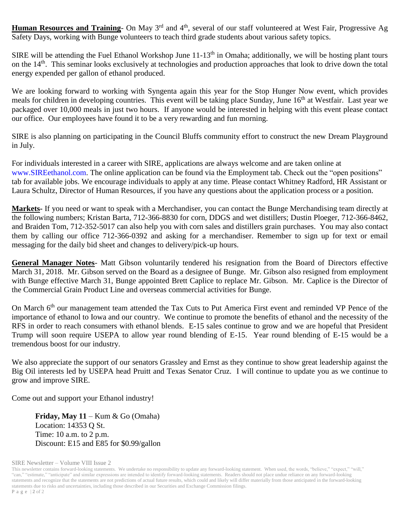**Human Resources and Training**- On May 3<sup>rd</sup> and 4<sup>th</sup>, several of our staff volunteered at West Fair, Progressive Ag Safety Days, working with Bunge volunteers to teach third grade students about various safety topics.

SIRE will be attending the Fuel Ethanol Workshop June  $11-13<sup>th</sup>$  in Omaha; additionally, we will be hosting plant tours on the 14<sup>th</sup>. This seminar looks exclusively at technologies and production approaches that look to drive down the total energy expended per gallon of ethanol produced.

We are looking forward to working with Syngenta again this year for the Stop Hunger Now event, which provides meals for children in developing countries. This event will be taking place Sunday, June 16<sup>th</sup> at Westfair. Last year we packaged over 10,000 meals in just two hours. If anyone would be interested in helping with this event please contact our office. Our employees have found it to be a very rewarding and fun morning.

SIRE is also planning on participating in the Council Bluffs community effort to construct the new Dream Playground in July.

For individuals interested in a career with SIRE, applications are always welcome and are taken online at www.SIREethanol.com. The online application can be found via the Employment tab. Check out the "open positions" tab for available jobs. We encourage individuals to apply at any time. Please contact Whitney Radford, HR Assistant or Laura Schultz, Director of Human Resources, if you have any questions about the application process or a position.

**Markets-** If you need or want to speak with a Merchandiser, you can contact the Bunge Merchandising team directly at the following numbers; Kristan Barta, 712-366-8830 for corn, DDGS and wet distillers; Dustin Ploeger, 712-366-8462, and Braiden Tom, 712-352-5017 can also help you with corn sales and distillers grain purchases. You may also contact them by calling our office 712-366-0392 and asking for a merchandiser. Remember to sign up for text or email messaging for the daily bid sheet and changes to delivery/pick-up hours.

**General Manager Notes**- Matt Gibson voluntarily tendered his resignation from the Board of Directors effective March 31, 2018. Mr. Gibson served on the Board as a designee of Bunge. Mr. Gibson also resigned from employment with Bunge effective March 31, Bunge appointed Brett Caplice to replace Mr. Gibson. Mr. Caplice is the Director of the Commercial Grain Product Line and overseas commercial activities for Bunge.

On March 6<sup>th</sup> our management team attended the Tax Cuts to Put America First event and reminded VP Pence of the importance of ethanol to Iowa and our country.We continue to promote the benefits of ethanol and the necessity of the RFS in order to reach consumers with ethanol blends. E-15 sales continue to grow and we are hopeful that President Trump will soon require USEPA to allow year round blending of E-15. Year round blending of E-15 would be a tremendous boost for our industry.

We also appreciate the support of our senators Grassley and Ernst as they continue to show great leadership against the Big Oil interests led by USEPA head Pruitt and Texas Senator Cruz. I will continue to update you as we continue to grow and improve SIRE.

Come out and support your Ethanol industry!

**Friday, May 11** – Kum & Go (Omaha) Location: 14353 Q St. Time: 10 a.m. to 2 p.m. Discount: E15 and E85 for \$0.99/gallon

SIRE Newsletter – Volume VIII Issue 2

This newsletter contains forward-looking statements. We undertake no responsibility to update any forward-looking statement. When used, the words, "believe," "expect," "will," "can," "estimate," "anticipate" and similar expressions are intended to identify forward-looking statements. Readers should not place undue reliance on any forward-looking statements and recognize that the statements are not predictions of actual future results, which could and likely will differ materially from those anticipated in the forward-looking statements due to risks and uncertainties, including those described in our Securities and Exchange Commission filings. P a g e | **2** of 2